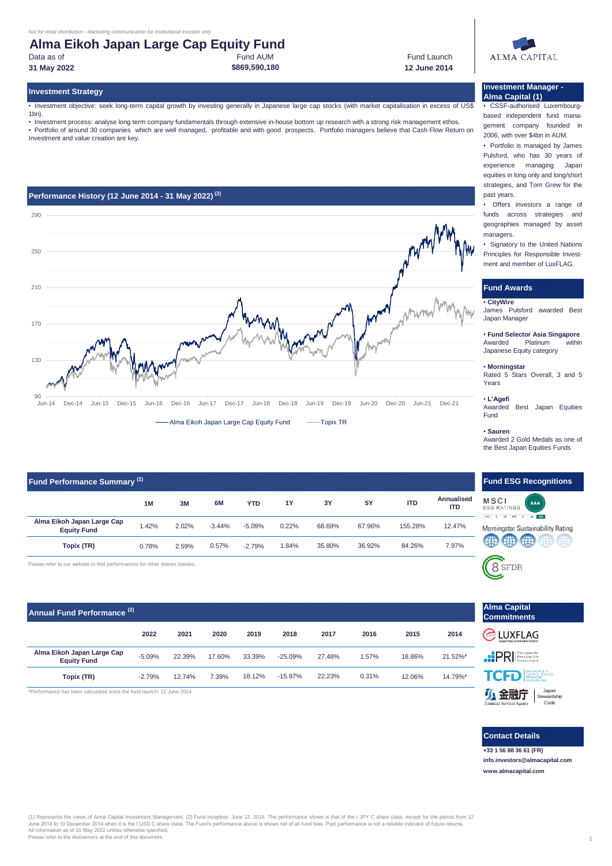*Not for retail distribution - Marketing communication for institutional investor only*

# **Alma Eikoh Japan Large Cap Equity Fund** Data as of Fund AUM Fund Launch



**Investment Strategy**

•\_Investment objective: seek long-term capital growth by investing generally in Japanese large cap stocks (with market capitalisation in excess of US\$ 1bn).

•\_Investment process: analyse long term company fundamentals through extensive in-house bottom up research with a strong risk management ethos. • Portfolio of around 30 companies which are well managed, profitable and with good prospects. Portfolio managers believe that Cash Flow Return on Investment and value creation are key.



| <b>Fund Performance Summary (2)</b>              |       |       |          |            |       |        |        |            |                          |
|--------------------------------------------------|-------|-------|----------|------------|-------|--------|--------|------------|--------------------------|
|                                                  | 1M    | 3M    | 6M       | <b>YTD</b> | 1Y    | 3Y     | 5Y     | <b>ITD</b> | Annualised<br><b>ITD</b> |
| Alma Eikoh Japan Large Cap<br><b>Equity Fund</b> | 1.42% | 2.02% | $-3.44%$ | $-5.09%$   | 0.22% | 68.69% | 67.96% | 155.28%    | 12.47%                   |
| Topix (TR)                                       | 0.78% | 2.59% | 0.57%    | $-2.79%$   | 1.84% | 35.80% | 36.92% | 84.26%     | 7.97%                    |

Please refer to our website to find performances for other shares classes.

| Annual Fund Performance <sup>(2)</sup>           |          |        |        |        |           |        |       |        |         |
|--------------------------------------------------|----------|--------|--------|--------|-----------|--------|-------|--------|---------|
|                                                  | 2022     | 2021   | 2020   | 2019   | 2018      | 2017   | 2016  | 2015   | 2014    |
| Alma Eikoh Japan Large Cap<br><b>Equity Fund</b> | $-5.09%$ | 22.39% | 17.60% | 33.39% | $-25.09%$ | 27.48% | 1.57% | 18.86% | 21.52%* |
| Topix (TR)                                       | $-2.79%$ | 12.74% | 7.39%  | 18.12% | $-15.97%$ | 22.23% | 0.31% | 12.06% | 14.79%* |

\*Performance has been calculated since the fund launch: 12 June 2014  $\blacksquare$ 



# **Contact Details**

**[www.a](http://www.almacapital.com/)lmacapital.com +33 1 56 88 36 61 (FR) [info.in](mailto:info.investors@almacapital.com)vestors@almacapital.com**

**31 May 2022 \$869,590,180 12 June 2014**

Please refer to the disclaimers at the end of this document.

**Investment Manager Alma Capital (1) CSSF-authorised Luxembourg** based independent fund management company founded in

2006, with over \$4bn in AUM. • Portfolio is managed by James Pulsford, who has 30 years of experience managing Japan equities in long only and long/short strategies, and Tom Grew for the past years.

• Offers investors a range of funds across strategies and geographies managed by asset managers.

• Signatory to the United Nations Principles for Responsible Investment and member of LuxFLAG.

## **Fund Awards**

# • **CityWire**

James Pulsford awarded Best Japan Manager

• **Fund Selector Asia Singapore** Platinum Japanese Equity category

#### • **Morningstar**

Rated 5 Stars Overall, 3 and 5 Years

#### • **L'Agefi**

Awarded Best Japan Equities Fund

## • **Sauren**  Awarded 2 Gold Medals as one of

the Best Japan Equities Funds

# **Fund ESG Recognitions**

**MSCI AAA ESG RATINGS** cool is I as I again a linear

Morningstar Sustainability Rating



**Alma Capital Commitments**

CLUXFLAG

**PRI** Responsible TCFD N

(1) Represents the views of Alma Capital Investment Management. (2) Fund inception: June 12, 2014. The performance shown is that of the I JPY C share class, except for the period from 12 June 2014 to 10 December 2014 when it is the I USD C share class. The Fund's performance above is shown net of all fund fees. Past performance is not a reliable indicator of future returns.<br>All information as of 31 May 202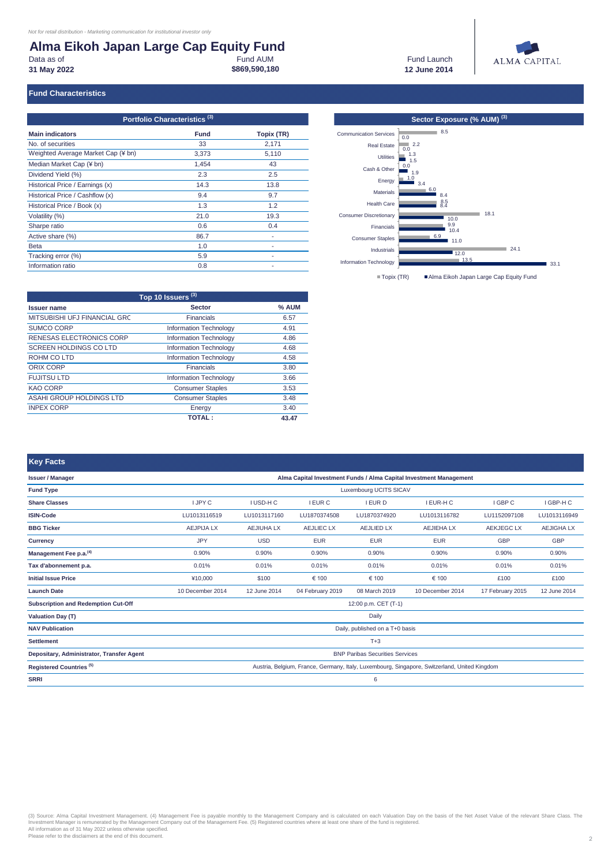| Alma Eikoh Japan Large Cap Equity Fund |               |
|----------------------------------------|---------------|
| Data as of                             | Fund AUM      |
| 31 May 2022                            | \$869,590,180 |

**Fund Characteristics**

| Portfolio Characteristics <sup>(3)</sup> |             |            |  |  |  |  |  |
|------------------------------------------|-------------|------------|--|--|--|--|--|
| <b>Main indicators</b>                   | <b>Fund</b> | Topix (TR) |  |  |  |  |  |
| No. of securities                        | 33          | 2,171      |  |  |  |  |  |
| Weighted Average Market Cap (¥ bn)       | 3,373       | 5,110      |  |  |  |  |  |
| Median Market Cap (¥ bn)                 | 1,454       | 43         |  |  |  |  |  |
| Dividend Yield (%)                       | 2.3         | 2.5        |  |  |  |  |  |
| Historical Price / Earnings (x)          | 14.3        | 13.8       |  |  |  |  |  |
| Historical Price / Cashflow (x)          | 9.4         | 9.7        |  |  |  |  |  |
| Historical Price / Book (x)              | 1.3         | 1.2        |  |  |  |  |  |
| Volatility (%)                           | 21.0        | 19.3       |  |  |  |  |  |
| Sharpe ratio                             | 0.6         | 0.4        |  |  |  |  |  |
| Active share (%)                         | 86.7        |            |  |  |  |  |  |
| <b>Beta</b>                              | 1.0         | ۰          |  |  |  |  |  |
| Tracking error (%)                       | 5.9         | ۰          |  |  |  |  |  |
| Information ratio                        | 0.8         |            |  |  |  |  |  |

| Top 10 Issuers <sup>(3)</sup>   |                               |       |  |  |  |  |  |
|---------------------------------|-------------------------------|-------|--|--|--|--|--|
| <b>Issuer name</b>              | <b>Sector</b>                 | % AUM |  |  |  |  |  |
| MITSUBISHI UFJ FINANCIAL GRC    | <b>Financials</b>             | 6.57  |  |  |  |  |  |
| <b>SUMCO CORP</b>               | <b>Information Technology</b> | 4.91  |  |  |  |  |  |
| <b>RENESAS ELECTRONICS CORP</b> | <b>Information Technology</b> | 4.86  |  |  |  |  |  |
| <b>SCREEN HOLDINGS CO LTD</b>   | <b>Information Technology</b> | 4.68  |  |  |  |  |  |
| ROHM CO LTD                     | <b>Information Technology</b> | 4.58  |  |  |  |  |  |
| ORIX CORP                       | Financials                    | 3.80  |  |  |  |  |  |
| <b>FUJITSU LTD</b>              | <b>Information Technology</b> | 3.66  |  |  |  |  |  |
| <b>KAO CORP</b>                 | <b>Consumer Staples</b>       | 3.53  |  |  |  |  |  |
| ASAHI GROUP HOLDINGS LTD        | <b>Consumer Staples</b>       | 3.48  |  |  |  |  |  |
| <b>INPEX CORP</b>               | Energy                        | 3.40  |  |  |  |  |  |
|                                 | <b>TOTAL:</b>                 | 43.47 |  |  |  |  |  |

|             | Portfolio Characteristics (3) |            | Sector Exposure (% AUM) <sup>(3)</sup>                              |
|-------------|-------------------------------|------------|---------------------------------------------------------------------|
|             | <b>Fund</b>                   | Topix (TR) | 8.5<br><b>Communication Services</b><br>0.0                         |
|             | 33                            | 2,171      | $\overline{2.2}$<br><b>Real Estate</b><br>0.0                       |
| $\n  f$ bn) | 3,373                         | 5,110      | 1.3<br>Utilities                                                    |
|             | 1,454                         | 43         | 1.5<br>0.0<br>Cash & Other                                          |
|             | 2.3                           | 2.5        | 1.9<br>1.0                                                          |
|             | 14.3                          | 13.8       | Energy<br>3.4                                                       |
|             | 9.4                           | 9.7        | 6.0<br>Materials<br>8.4                                             |
|             | 1.3                           | 1.2        | $8.5$<br>$8.4$<br><b>Health Care</b>                                |
|             | 21.0                          | 19.3       | 18.1<br><b>Consumer Discretionary</b><br>10.0                       |
|             | 0.6                           | 0.4        | 9.9<br>Financials<br>10.4                                           |
|             | 86.7                          | $\sim$     | 6.9<br><b>Consumer Staples</b><br>11.0                              |
|             | 1.0                           | ۰          | 24.1<br>Industrials                                                 |
|             | 5.9                           |            | 12.0<br>13.5                                                        |
|             | 0.8                           | ٠          | Information Technology<br>33.1                                      |
|             |                               |            | Alma Eikoh Japan Large Cap Equity Fund<br>$\blacksquare$ Topix (TR) |

| <b>Key Facts</b>                           |                                                                    |                   |                   |                      |                                                                                              |                   |                   |  |  |
|--------------------------------------------|--------------------------------------------------------------------|-------------------|-------------------|----------------------|----------------------------------------------------------------------------------------------|-------------------|-------------------|--|--|
| <b>Issuer / Manager</b>                    | Alma Capital Investment Funds / Alma Capital Investment Management |                   |                   |                      |                                                                                              |                   |                   |  |  |
| <b>Fund Type</b>                           | Luxembourg UCITS SICAV                                             |                   |                   |                      |                                                                                              |                   |                   |  |  |
| <b>Share Classes</b>                       | <b>I JPY C</b>                                                     | <b>I USD-H C</b>  | <b>I EUR C</b>    | <b>I EUR D</b>       | I EUR-H C                                                                                    | I GBP C           | I GBP-H C         |  |  |
| <b>ISIN-Code</b>                           | LU1013116519                                                       | LU1013117160      | LU1870374508      | LU1870374920         | LU1013116782                                                                                 | LU1152097108      | LU1013116949      |  |  |
| <b>BBG Ticker</b>                          | <b>AEJPIJA LX</b>                                                  | <b>AEJIUHA LX</b> | <b>AEJLIEC LX</b> | <b>AEJLIED LX</b>    | <b>AEJIEHA LX</b>                                                                            | <b>AEKJEGC LX</b> | <b>AEJIGHA LX</b> |  |  |
| <b>Currency</b>                            | <b>JPY</b>                                                         | <b>USD</b>        | <b>EUR</b>        | <b>EUR</b>           | <b>EUR</b>                                                                                   | <b>GBP</b>        | <b>GBP</b>        |  |  |
| Management Fee p.a. <sup>(4)</sup>         | 0.90%                                                              | 0.90%             | 0.90%             | 0.90%                | 0.90%                                                                                        | 0.90%             | 0.90%             |  |  |
| Tax d'abonnement p.a.                      | 0.01%                                                              | 0.01%             | 0.01%             | 0.01%                | 0.01%                                                                                        | 0.01%             | 0.01%             |  |  |
| <b>Initial Issue Price</b>                 | ¥10,000                                                            | \$100             | € 100             | € 100                | € 100                                                                                        | £100              | £100              |  |  |
| <b>Launch Date</b>                         | 10 December 2014                                                   | 12 June 2014      | 04 February 2019  | 08 March 2019        | 10 December 2014                                                                             | 17 February 2015  | 12 June 2014      |  |  |
| <b>Subscription and Redemption Cut-Off</b> |                                                                    |                   |                   | 12:00 p.m. CET (T-1) |                                                                                              |                   |                   |  |  |
| <b>Valuation Day (T)</b>                   |                                                                    |                   |                   | Daily                |                                                                                              |                   |                   |  |  |
| <b>NAV Publication</b>                     | Daily, published on a T+0 basis                                    |                   |                   |                      |                                                                                              |                   |                   |  |  |
| <b>Settlement</b>                          | $T+3$                                                              |                   |                   |                      |                                                                                              |                   |                   |  |  |
| Depositary, Administrator, Transfer Agent  | <b>BNP Paribas Securities Services</b>                             |                   |                   |                      |                                                                                              |                   |                   |  |  |
| Registered Countries <sup>(5)</sup>        |                                                                    |                   |                   |                      | Austria, Belgium, France, Germany, Italy, Luxembourg, Singapore, Switzerland, United Kingdom |                   |                   |  |  |
| <b>SRRI</b>                                | 6                                                                  |                   |                   |                      |                                                                                              |                   |                   |  |  |

(3) Source: Alma Capital Investment Management. (4) Management Fee is payable monthly to the Management Company and is calculated on each Valuation Day on the basis of the Net Asset Value of the relevant Share Class. The<br>I

**12 June 2014** Fund Launch

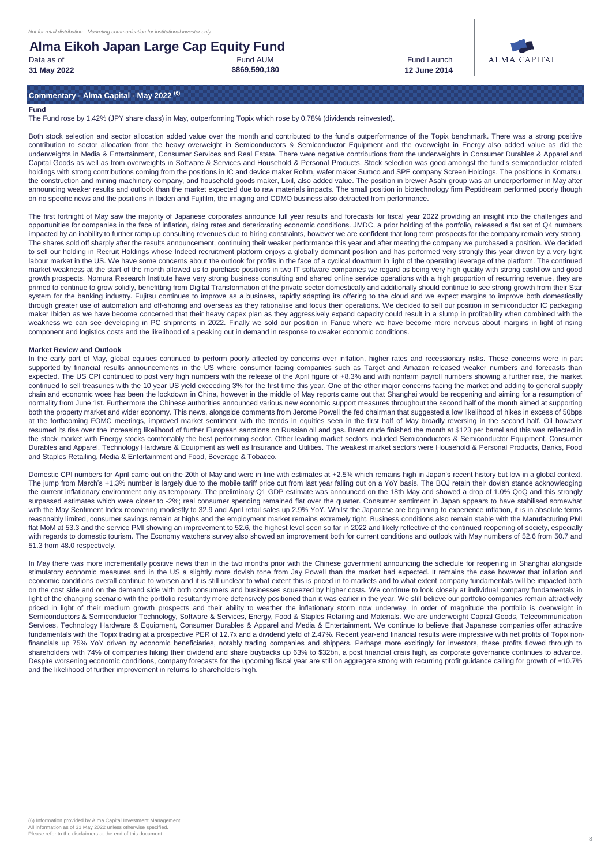# **Alma Eikoh Japan Large Cap Equity Fund** Data as of Fund AUM Fund Launch

**31 May 2022 \$869,590,180 12 June 2014**



**Commentary - Alma Capital - May 2022 (6)**

#### **Fund**

The Fund rose by 1.42% (JPY share class) in May, outperforming Topix which rose by 0.78% (dividends reinvested).

Both stock selection and sector allocation added value over the month and contributed to the fund's outperformance of the Topix benchmark. There was a strong positive contribution to sector allocation from the heavy overweight in Semiconductors & Semiconductor Equipment and the overweight in Energy also added value as did the underweights in Media & Entertainment, Consumer Services and Real Estate. There were negative contributions from the underweights in Consumer Durables & Apparel and Capital Goods as well as from overweights in Software & Services and Household & Personal Products. Stock selection was good amongst the fund's semiconductor related holdings with strong contributions coming from the positions in IC and device maker Rohm, wafer maker Sumco and SPE company Screen Holdings. The positions in Komatsu, the construction and mining machinery company, and household goods maker, Lixil, also added value. The position in brewer Asahi group was an underperformer in May after announcing weaker results and outlook than the market expected due to raw materials impacts. The small position in biotechnology firm Peptidream performed poorly though on no specific news and the positions in Ibiden and Fujifilm, the imaging and CDMO business also detracted from performance.

The first fortnight of May saw the majority of Japanese corporates announce full year results and forecasts for fiscal year 2022 providing an insight into the challenges and opportunities for companies in the face of inflation, rising rates and deteriorating economic conditions. JMDC, a prior holding of the portfolio, released a flat set of Q4 numbers impacted by an inability to further ramp up consulting revenues due to hiring constraints, however we are confident that long term prospects for the company remain very strong. The shares sold off sharply after the results announcement, continuing their weaker performance this year and after meeting the company we purchased a position. We decided to sell our holding in Recruit Holdings whose Indeed recruitment platform enjoys a globally dominant position and has performed very strongly this year driven by a very tight labour market in the US. We have some concerns about the outlook for profits in the face of a cyclical downturn in light of the operating leverage of the platform. The continued market weakness at the start of the month allowed us to purchase positions in two IT software companies we regard as being very high quality with strong cashflow and good growth prospects. Nomura Research Institute have very strong business consulting and shared online service operations with a high proportion of recurring revenue, they are primed to continue to grow solidly, benefitting from Digital Transformation of the private sector domestically and additionally should continue to see strong growth from their Star system for the banking industry. Fujitsu continues to improve as a business, rapidly adapting its offering to the cloud and we expect margins to improve both domestically through greater use of automation and off-shoring and overseas as they rationalise and focus their operations. We decided to sell our position in semiconductor IC packaging maker Ibiden as we have become concerned that their heavy capex plan as they aggressively expand capacity could result in a slump in profitability when combined with the weakness we can see developing in PC shipments in 2022. Finally we sold our position in Fanuc where we have become more nervous about margins in light of rising component and logistics costs and the likelihood of a peaking out in demand in response to weaker economic conditions.

#### **Market Review and Outlook**

In the early part of May, global equities continued to perform poorly affected by concerns over inflation, higher rates and recessionary risks. These concerns were in part supported by financial results announcements in the US where consumer facing companies such as Target and Amazon released weaker numbers and forecasts than expected. The US CPI continued to post very high numbers with the release of the April figure of +8.3% and with nonfarm payroll numbers showing a further rise, the market continued to sell treasuries with the 10 year US yield exceeding 3% for the first time this year. One of the other major concerns facing the market and adding to general supply chain and economic woes has been the lockdown in China, however in the middle of May reports came out that Shanghai would be reopening and aiming for a resumption of normality from June 1st. Furthermore the Chinese authorities announced various new economic support measures throughout the second half of the month aimed at supporting both the property market and wider economy. This news, alongside comments from Jerome Powell the fed chairman that suggested a low likelihood of hikes in excess of 50bps at the forthcoming FOMC meetings, improved market sentiment with the trends in equities seen in the first half of May broadly reversing in the second half. Oil however resumed its rise over the increasing likelihood of further European sanctions on Russian oil and gas. Brent crude finished the month at \$123 per barrel and this was reflected in the stock market with Energy stocks comfortably the best performing sector. Other leading market sectors included Semiconductors & Semiconductor Equipment, Consumer Durables and Apparel, Technology Hardware & Equipment as well as Insurance and Utilities. The weakest market sectors were Household & Personal Products, Banks, Food and Staples Retailing, Media & Entertainment and Food, Beverage & Tobacco.

Domestic CPI numbers for April came out on the 20th of May and were in line with estimates at +2.5% which remains high in Japan's recent history but low in a global context. The jump from March's +1.3% number is largely due to the mobile tariff price cut from last year falling out on a YoY basis. The BOJ retain their dovish stance acknowledging the current inflationary environment only as temporary. The preliminary Q1 GDP estimate was announced on the 18th May and showed a drop of 1.0% QoQ and this strongly surpassed estimates which were closer to -2%; real consumer spending remained flat over the quarter. Consumer sentiment in Japan appears to have stabilised somewhat with the May Sentiment Index recovering modestly to 32.9 and April retail sales up 2.9% YoY. Whilst the Japanese are beginning to experience inflation, it is in absolute terms reasonably limited, consumer savings remain at highs and the employment market remains extremely tight. Business conditions also remain stable with the Manufacturing PMI flat MoM at 53.3 and the service PMI showing an improvement to 52.6, the highest level seen so far in 2022 and likely reflective of the continued reopening of society, especially with regards to domestic tourism. The Economy watchers survey also showed an improvement both for current conditions and outlook with May numbers of 52.6 from 50.7 and 51.3 from 48.0 respectively.

In May there was more incrementally positive news than in the two months prior with the Chinese government announcing the schedule for reopening in Shanghai alongside stimulatory economic measures and in the US a slightly more dovish tone from Jay Powell than the market had expected. It remains the case however that inflation and economic conditions overall continue to worsen and it is still unclear to what extent this is priced in to markets and to what extent company fundamentals will be impacted both on the cost side and on the demand side with both consumers and businesses squeezed by higher costs. We continue to look closely at individual company fundamentals in light of the changing scenario with the portfolio resultantly more defensively positioned than it was earlier in the year. We still believe our portfolio companies remain attractively priced in light of their medium growth prospects and their ability to weather the inflationary storm now underway. In order of magnitude the portfolio is overweight in Semiconductors & Semiconductor Technology, Software & Services, Energy, Food & Staples Retailing and Materials. We are underweight Capital Goods, Telecommunication Services, Technology Hardware & Equipment, Consumer Durables & Apparel and Media & Entertainment. We continue to believe that Japanese companies offer attractive fundamentals with the Topix trading at a prospective PER of 12.7x and a dividend yield of 2.47%. Recent year-end financial results were impressive with net profits of Topix nonfinancials up 75% YoY driven by economic beneficiaries, notably trading companies and shippers. Perhaps more excitingly for investors, these profits flowed through to shareholders with 74% of companies hiking their dividend and share buybacks up 63% to \$32bn, a post financial crisis high, as corporate governance continues to advance. Despite worsening economic conditions, company forecasts for the upcoming fiscal year are still on aggregate strong with recurring profit guidance calling for growth of +10.7% and the likelihood of further improvement in returns to shareholders high.